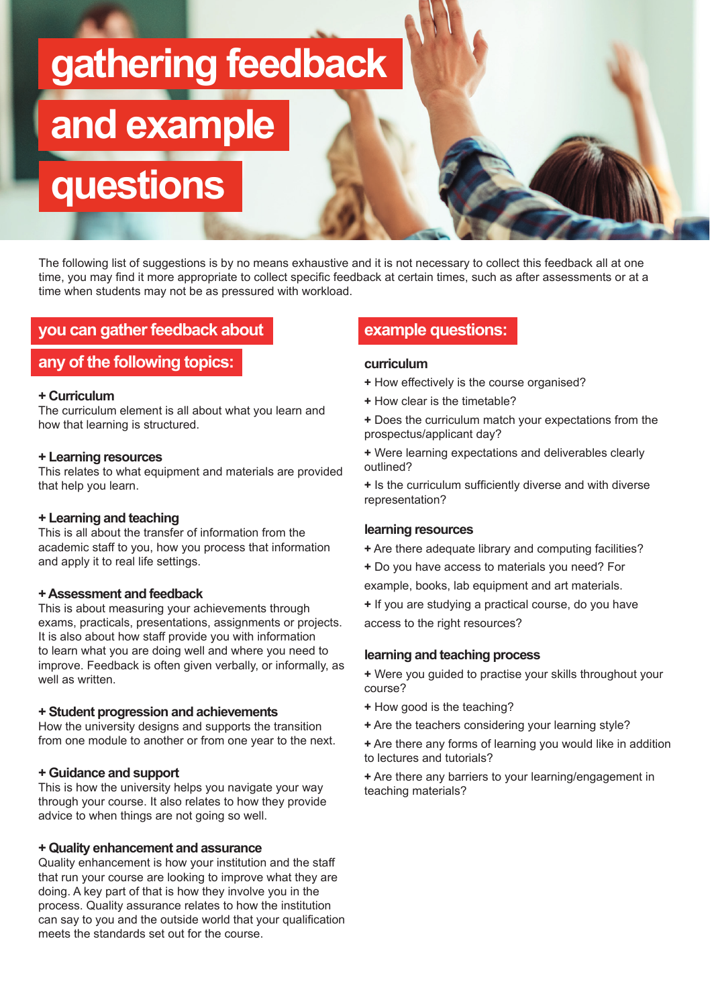# **gathering feedback**

# **and example**

**questions**

The following list of suggestions is by no means exhaustive and it is not necessary to collect this feedback all at one time, you may find it more appropriate to collect specific feedback at certain times, such as after assessments or at a time when students may not be as pressured with workload.

# **you can gather feedback about**

# **any of the following topics:**

#### **+ Curriculum**

The curriculum element is all about what you learn and how that learning is structured.

#### **+ Learning resources**

This relates to what equipment and materials are provided that help you learn.

#### **+ Learning and teaching**

This is all about the transfer of information from the academic staff to you, how you process that information and apply it to real life settings.

#### **+ Assessment and feedback**

This is about measuring your achievements through exams, practicals, presentations, assignments or projects. It is also about how staff provide you with information to learn what you are doing well and where you need to improve. Feedback is often given verbally, or informally, as well as written.

#### **+ Student progression and achievements**

How the university designs and supports the transition from one module to another or from one year to the next.

#### **+ Guidance and support**

This is how the university helps you navigate your way through your course. It also relates to how they provide advice to when things are not going so well.

#### **+ Quality enhancement and assurance**

Quality enhancement is how your institution and the staff that run your course are looking to improve what they are doing. A key part of that is how they involve you in the process. Quality assurance relates to how the institution can say to you and the outside world that your qualification meets the standards set out for the course.

### **example questions:**

#### **curriculum**

- **+** How effectively is the course organised?
- **+** How clear is the timetable?
- **+** Does the curriculum match your expectations from the prospectus/applicant day?
- **+** Were learning expectations and deliverables clearly outlined?

**+** Is the curriculum sufficiently diverse and with diverse representation?

#### **learning resources**

- **+** Are there adequate library and computing facilities?
- **+** Do you have access to materials you need? For
- example, books, lab equipment and art materials.
- **+** If you are studying a practical course, do you have access to the right resources?

#### **learning and teaching process**

**+** Were you guided to practise your skills throughout your course?

- **+** How good is the teaching?
- **+** Are the teachers considering your learning style?
- **+** Are there any forms of learning you would like in addition to lectures and tutorials?
- **+** Are there any barriers to your learning/engagement in teaching materials?